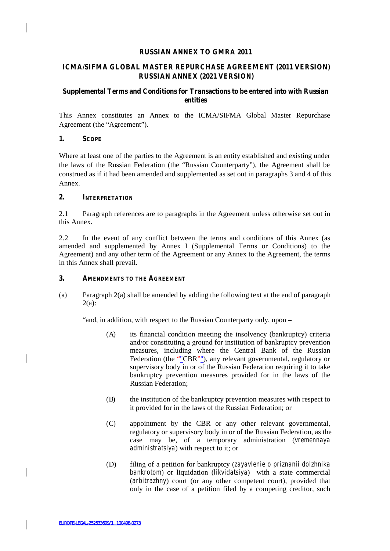#### **RUSSIAN ANNEX TO GMRA 2011**

# **ICMA/SIFMA GLOBAL MASTER REPURCHASE AGREEMENT (2011 VERSION) RUSSIAN ANNEX (2021 VERSION)**

## **Supplemental Terms and Conditions for Transactions to be entered into with Russian entities**

This Annex constitutes an Annex to the ICMA/SIFMA Global Master Repurchase Agreement (the "Agreement").

#### **1. SCOPE**

Where at least one of the parties to the Agreement is an entity established and existing under the laws of the Russian Federation (the "Russian Counterparty"), the Agreement shall be construed as if it had been amended and supplemented as set out in paragraphs 3 and 4 of this Annex.

#### **2. INTERPRETATION**

2.1 Paragraph references are to paragraphs in the Agreement unless otherwise set out in this Annex.

2.2 In the event of any conflict between the terms and conditions of this Annex (as amended and supplemented by Annex I (Supplemental Terms or Conditions) to the Agreement) and any other term of the Agreement or any Annex to the Agreement, the terms in this Annex shall prevail.

#### **3. AMENDMENTS TO THE AGREEMENT**

(a) Paragraph 2(a) shall be amended by adding the following text at the end of paragraph 2(a):

"and, in addition, with respect to the Russian Counterparty only, upon –

- (A) its financial condition meeting the insolvency (bankruptcy) criteria and/or constituting a ground for institution of bankruptcy prevention measures, including where the Central Bank of the Russian Federation (the ""CBR""), any relevant governmental, regulatory or supervisory body in or of the Russian Federation requiring it to take bankruptcy prevention measures provided for in the laws of the Russian Federation;
- (B) the institution of the bankruptcy prevention measures with respect to it provided for in the laws of the Russian Federation; or
- (C) appointment by the CBR or any other relevant governmental, regulatory or supervisory body in or of the Russian Federation, as the case may be, of a temporary administration (*vremennaya administratsiya*) with respect to it; or
- (D) filing of a petition for bankruptcy (*zayavlenie o priznanii dolzhnika bankrotom*) or liquidation (*likvidatsiya*) with a state commercial (*arbitrazhny*) court (or any other competent court), provided that only in the case of a petition filed by a competing creditor, such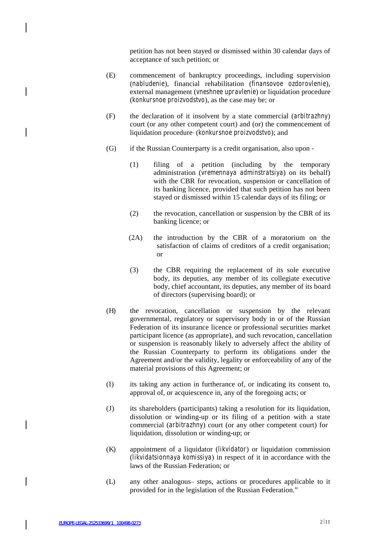petition has not been stayed or dismissed within 30 calendar days of acceptance of such petition; or

- (E) commencement of bankruptcy proceedings, including supervision (*nabludenie*), financial rehabilitation (*finansovoe ozdorovlenie*), external management (*vneshnee upravlenie*) or liquidation procedure (*konkursnoe proizvodstvo*), as the case may be; or
- (F) the declaration of it insolvent by a state commercial (*arbitrazhny*) court (or any other competent court) and (or) the commencement of liquidation procedure (*konkursnoe proizvodstvo*); and
- (G) if the Russian Counterparty is a credit organisation, also upon
	- (1) filing of a petition (including by the temporary administration (*vremennaya adminstratsiya*) on its behalf) with the CBR for revocation, suspension or cancellation of its banking licence, provided that such petition has not been stayed or dismissed within 15 calendar days of its filing; or
	- (2) the revocation, cancellation or suspension by the CBR of its banking licence; or
	- (2A) the introduction by the CBR of a moratorium on the satisfaction of claims of creditors of a credit organisation; or
	- (3) the CBR requiring the replacement of its sole executive body, its deputies, any member of its collegiate executive body, chief accountant, its deputies, any member of its board of directors (supervising board); or
- (H) the revocation, cancellation or suspension by the relevant governmental, regulatory or supervisory body in or of the Russian Federation of its insurance licence or professional securities market participant licence (as appropriate), and such revocation, cancellation or suspension is reasonably likely to adversely affect the ability of the Russian Counterparty to perform its obligations under the Agreement and/or the validity, legality or enforceability of any of the material provisions of this Agreement; or
- (I) its taking any action in furtherance of,or indicating its consent to, approval of, or acquiescence in, any of the foregoing acts; or
- (J) its shareholders (participants) taking a resolution for its liquidation, dissolution or winding-up or its filing of a petition with a state commercial (*arbitrazhny*) court (or any other competent court) for liquidation, dissolution or winding-up; or
- (K) appointment of a liquidator (*likvidator*) or liquidation commission (*likvidatsionnaya komissiya*) in respect of it in accordance with the laws of the Russian Federation; or
- (L) any other analogous-steps, actions or procedures applicable to it provided for in the legislation of the Russian Federation."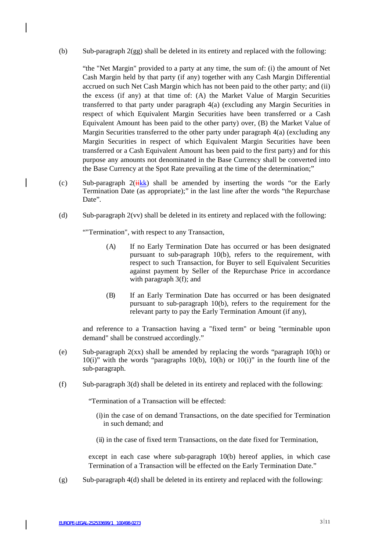(b) Sub-paragraph 2(gg) shall be deleted in its entirety and replaced with the following:

"the "Net Margin" provided to a party at any time, the sum of: (i) the amount of Net Cash Margin held by that party (if any) together with any Cash Margin Differential accrued on such Net Cash Margin which has not been paid to the other party; and (ii) the excess (if any) at that time of: (A) the Market Value of Margin Securities transferred to that party under paragraph 4(a) (excluding any Margin Securities in respect of which Equivalent Margin Securities have been transferred or a Cash Equivalent Amount has been paid to the other party) over, (B) the Market Value of Margin Securities transferred to the other party under paragraph 4(a) (excluding any Margin Securities in respect of which Equivalent Margin Securities have been transferred or a Cash Equivalent Amount has been paid to the first party) and for this purpose any amounts not denominated in the Base Currency shall be converted into the Base Currency at the Spot Rate prevailing at the time of the determination;"

- (c) Sub-paragraph  $2(iikk)$  shall be amended by inserting the words "or the Early Termination Date (as appropriate);" in the last line after the words "the Repurchase Date"
- (d) Sub-paragraph 2(vv) shall be deleted in its entirety and replaced with the following:

""Termination", with respect to any Transaction,

 $\mathsf{l}$ 

- (A) If no Early Termination Date has occurred or has been designated pursuant to sub-paragraph 10(b), refers to the requirement, with respect to such Transaction, for Buyer to sell Equivalent Securities against payment by Seller of the Repurchase Price in accordance with paragraph 3(f); and
- (B) If an Early Termination Date has occurred or has been designated pursuant to sub-paragraph 10(b), refers to the requirement for the relevant party to pay the Early Termination Amount (if any),

and reference to a Transaction having a "fixed term" or being "terminable upon demand" shall be construed accordingly."

- (e) Sub-paragraph 2(xx) shall be amended by replacing the words "paragraph 10(h) or  $10(i)$ " with the words "paragraphs  $10(b)$ ,  $10(h)$  or  $10(i)$ " in the fourth line of the sub-paragraph.
- (f) Sub-paragraph 3(d) shall be deleted in its entirety and replaced with the following:

"Termination of a Transaction will be effected:

- (i)in the case of on demand Transactions, on the date specified for Termination in such demand; and
- (ii) in the case of fixed term Transactions, on the date fixed for Termination,

except in each case where sub-paragraph 10(b) hereof applies, in which case Termination of a Transaction will be effected on the Early Termination Date."

(g) Sub-paragraph 4(d) shall be deleted in its entirety and replaced with the following: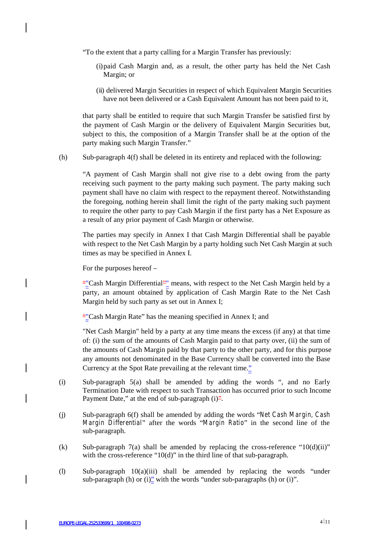"To the extent that a party calling for a Margin Transfer has previously:

- (i)paid Cash Margin and, as a result, the other party has held the Net Cash Margin; or
- (ii) delivered Margin Securities in respect of which Equivalent Margin Securities have not been delivered or a Cash Equivalent Amount has not been paid to it,

that party shall be entitled to require that such Margin Transfer be satisfied first by the payment of Cash Margin or the delivery of Equivalent Margin Securities but, subject to this, the composition of a Margin Transfer shall be at the option of the party making such Margin Transfer."

(h) Sub-paragraph 4(f) shall be deleted in its entirety and replaced with the following:

"A payment of Cash Margin shall not give rise to a debt owing from the party receiving such payment to the party making such payment. The party making such payment shall have no claim with respect to the repayment thereof. Notwithstanding the foregoing, nothing herein shall limit the right of the party making such payment to require the other party to pay Cash Margin if the first party has a Net Exposure as a result of any prior payment of Cash Margin or otherwise.

The parties may specify in Annex I that Cash Margin Differential shall be payable with respect to the Net Cash Margin by a party holding such Net Cash Margin at such times as may be specified in Annex I.

For the purposes hereof –

""Cash Margin Differential"" means, with respect to the Net Cash Margin held by a party, an amount obtained by application of Cash Margin Rate to the Net Cash Margin held by such party as set out in Annex I;

""Cash Margin Rate" has the meaning specified in Annex I; and

"Net Cash Margin" held by a party at any time means the excess (if any) at that time of: (i) the sum of the amounts of Cash Margin paid to that party over, (ii) the sum of the amounts of Cash Margin paid by that party to the other party, and for this purpose any amounts not denominated in the Base Currency shall be converted into the Base Currency at the Spot Rate prevailing at the relevant time."

- (i) Sub-paragraph 5(a) shall be amended by adding the words ", and no Early Termination Date with respect to such Transaction has occurred prior to such Income Payment Date," at the end of sub-paragraph  $(i)^2$ .
- (j) Sub-paragraph 6(f) shall be amended by adding the words "*Net Cash Margin, Cash Margin Dif erential*" after the words "*Margin Ratio*" in the second line of the sub-paragraph.
- (k) Sub-paragraph 7(a) shall be amended by replacing the cross-reference " $10(d)(ii)$ " with the cross-reference "10(d)" in the third line of that sub-paragraph.
- (l) Sub-paragraph 10(a)(iii) shall be amended by replacing the words "under sub-paragraph (h) or  $(i)$ " with the words "under sub-paragraphs (h) or  $(i)$ ".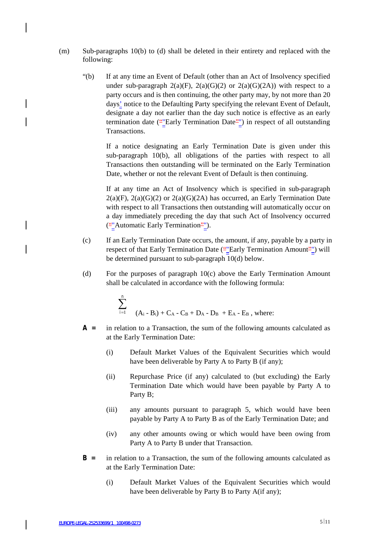- (m) Sub-paragraphs 10(b) to (d) shall be deleted in their entirety and replaced with the following:
	- "(b) If at any time an Event of Default (other than an Act of Insolvency specified under sub-paragraph  $2(a)(F)$ ,  $2(a)(G)(2)$  or  $2(a)(G)(2A)$ ) with respect to a party occurs and is then continuing, the other party may, by not more than 20 days' notice to the Defaulting Party specifying the relevant Event of Default, designate a day not earlier than the day such notice is effective as an early termination date (""Early Termination Date"") in respect of all outstanding Transactions.

If a notice designating an Early Termination Date is given under this sub-paragraph 10(b), all obligations of the parties with respect to all Transactions then outstanding will be terminated on the Early Termination Date, whether or not the relevant Event of Default is then continuing.

If at any time an Act of Insolvency which is specified in sub-paragraph  $2(a)(F)$ ,  $2(a)(G)(2)$  or  $2(a)(G)(2A)$  has occurred, an Early Termination Date with respect to all Transactions then outstanding will automatically occur on a day immediately preceding the day that such Act of Insolvency occurred (""Automatic Early Termination"").

- (c) If an Early Termination Date occurs, the amount, if any, payable by a party in respect of that Early Termination Date (""Early Termination Amount"") will be determined pursuant to sub-paragraph 10(d) below.
- (d) For the purposes of paragraph 10(c) above the Early Termination Amount shall be calculated in accordance with the following formula:

$$
\sum_{i=1}^{n} (A_{i} - B_{i}) + C_{A} - C_{B} + D_{A} - D_{B} + E_{A} - E_{B}
$$
, where:

- **A =** in relation to a Transaction, the sum of the following amounts calculated as at the Early Termination Date:
	- (i) Default Market Values of the Equivalent Securities which would have been deliverable by Party A to Party B (if any);
	- (ii) Repurchase Price (if any) calculated to (but excluding) the Early Termination Date which would have been payable by Party A to Party B;
	- (iii) any amounts pursuant to paragraph 5, which would have been payable by Party A to Party B as of the Early Termination Date; and
	- (iv) any other amounts owing or which would have been owing from Party A to Party B under that Transaction.
- **B =** in relation to a Transaction, the sum of the following amounts calculated as at the Early Termination Date:
	- (i) Default Market Values of the Equivalent Securities which would have been deliverable by Party B to Party A(if any);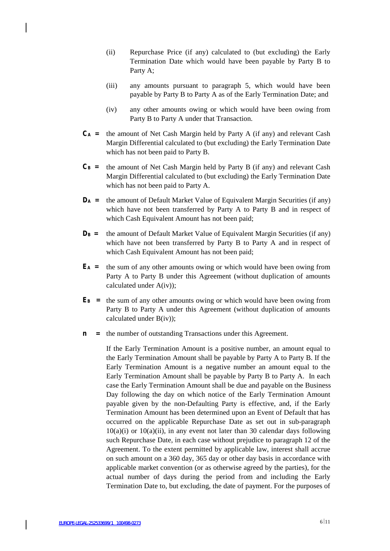- (ii) Repurchase Price (if any) calculated to (but excluding) the Early Termination Date which would have been payable by Party B to Party A;
- (iii) any amounts pursuant to paragraph 5, which would have been payable by Party B to Party A as of the Early Termination Date; and
- (iv) any other amounts owing or which would have been owing from Party B to Party A under that Transaction.
- $C_A$  = the amount of Net Cash Margin held by Party A (if any) and relevant Cash Margin Differential calculated to (but excluding) the Early Termination Date which has not been paid to Party B.
- $C_B$  = the amount of Net Cash Margin held by Party B (if any) and relevant Cash Margin Differential calculated to (but excluding) the Early Termination Date which has not been paid to Party A.
- **D<sup>A</sup> =** the amount of Default Market Value of Equivalent Margin Securities (if any) which have not been transferred by Party A to Party B and in respect of which Cash Equivalent Amount has not been paid;
- $D_B$  **=** the amount of Default Market Value of Equivalent Margin Securities (if any) which have not been transferred by Party B to Party A and in respect of which Cash Equivalent Amount has not been paid;
- **E<sup>A</sup> =** the sum of any other amounts owing or which would have been owing from Party A to Party B under this Agreement (without duplication of amounts calculated under A(iv));
- **E<sup>B</sup> =** the sum of any other amounts owing or which would have been owing from Party B to Party A under this Agreement (without duplication of amounts calculated under B(iv));
- **n =** the number of outstanding Transactions under this Agreement.

If the Early Termination Amount is a positive number, an amount equal to the Early Termination Amount shall be payable by Party A to Party B. If the Early Termination Amount is a negative number an amount equal to the Early Termination Amount shall be payable by Party B to Party A. In each case the Early Termination Amount shall be due and payable on the Business Day following the day on which notice of the Early Termination Amount payable given by the non-Defaulting Party is effective, and, if the Early Termination Amount has been determined upon an Event of Default that has occurred on the applicable Repurchase Date as set out in sub-paragraph  $10(a)(i)$  or  $10(a)(ii)$ , in any event not later than 30 calendar days following such Repurchase Date, in each case without prejudice to paragraph 12 of the Agreement. To the extent permitted by applicable law, interest shall accrue on such amount on a 360 day, 365 day or other day basis in accordance with applicable market convention (or as otherwise agreed by the parties), for the actual number of days during the period from and including the Early Termination Date to, but excluding, the date of payment. For the purposes of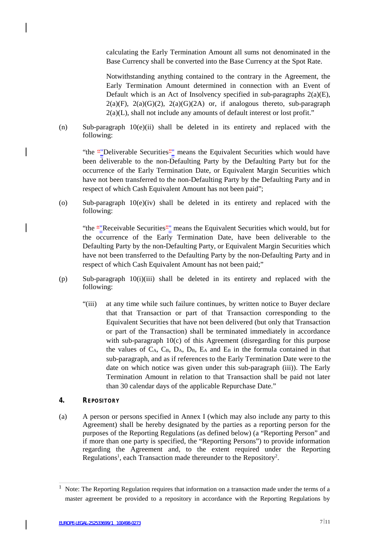calculating the Early Termination Amount all sums not denominated in the Base Currency shall be converted into the Base Currency at the Spot Rate.

Notwithstanding anything contained to the contrary in the Agreement, the Early Termination Amount determined in connection with an Event of Default which is an Act of Insolvency specified in sub-paragraphs 2(a)(E),  $2(a)(F)$ ,  $2(a)(G)(2)$ ,  $2(a)(G)(2A)$  or, if analogous thereto, sub-paragraph  $2(a)(L)$ , shall not include any amounts of default interest or lost profit."

(n) Sub-paragraph 10(e)(ii) shall be deleted in its entirety and replaced with the following:

"the ""Deliverable Securities"" means the Equivalent Securities which would have been deliverable to the non-Defaulting Party by the Defaulting Party but for the occurrence of the Early Termination Date, or Equivalent Margin Securities which have not been transferred to the non-Defaulting Party by the Defaulting Party and in respect of which Cash Equivalent Amount has not been paid";

(o) Sub-paragraph 10(e)(iv) shall be deleted in its entirety and replaced with the following:

"the ""Receivable Securities"" means the Equivalent Securities which would, but for the occurrence of the Early Termination Date, have been deliverable to the Defaulting Party by the non-Defaulting Party, or Equivalent Margin Securities which have not been transferred to the Defaulting Party by the non-Defaulting Party and in respect of which Cash Equivalent Amount has not been paid;"

- (p) Sub-paragraph 10(i)(iii) shall be deleted in its entirety and replaced with the following:
	- "(iii) at any time while such failure continues, by written notice to Buyer declare that that Transaction or part of that Transaction corresponding to the Equivalent Securities that have not been delivered (but only that Transaction or part of the Transaction) shall be terminated immediately in accordance with sub-paragraph 10(c) of this Agreement (disregarding for this purpose the values of  $C_A$ ,  $C_B$ ,  $D_A$ ,  $D_B$ ,  $E_A$  and  $E_B$  in the formula contained in that sub-paragraph, and as if references to the Early Termination Date were to the date on which notice was given under this sub-paragraph (iii)). The Early Termination Amount in relation to that Transaction shall be paid not later than 30 calendar days of the applicable Repurchase Date."

### **4. REPOSITORY**

(a) A person or persons specified in Annex I (which may also include any party to this Agreement) shall be hereby designated by the parties as a reporting person for the purposes of the Reporting Regulations (as defined below) (a "Reporting Person" and if more than one party is specified, the "Reporting Persons") to provide information regarding the Agreement and, to the extent required under the Reporting Regulations<sup>1</sup>, each Transaction made thereunder to the Repository<sup>2</sup>.

<sup>1</sup> Note: The Reporting Regulation requires that information on a transaction made under the terms of a master agreement be provided to a repository in accordance with the Reporting Regulations by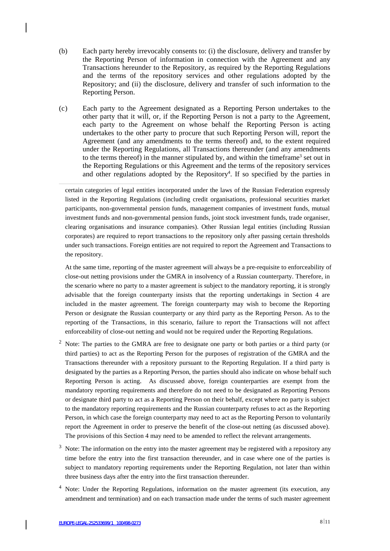- (b) Each party hereby irrevocably consents to: (i) the disclosure, delivery and transfer by the Reporting Person of information in connection with the Agreement and any Transactions hereunder to the Repository, as required by the Reporting Regulations and the terms of the repository services and other regulations adopted by the Repository; and (ii) the disclosure, delivery and transfer of such information to the Reporting Person.
- (c) Each party to the Agreement designated as a Reporting Person undertakes to the other party that it will, or, if the Reporting Person is not a party to the Agreement, each party to the Agreement on whose behalf the Reporting Person is acting undertakes to the other party to procure that such Reporting Person will, report the Agreement (and any amendments to the terms thereof) and, to the extent required under the Reporting Regulations, all Transactions thereunder (and any amendments to the terms thereof) in the manner stipulated by, and within the timeframe <sup>3</sup> set out in the Reporting Regulations or this Agreement and the terms of the repository services and other regulations adopted by the Repository 4 . If so specified by the parties in

certain categories of legal entities incorporated under the laws of the Russian Federation expressly listed in the Reporting Regulations (including credit organisations, professional securities market participants, non-governmental pension funds, management companies of investment funds, mutual investment funds and non-governmental pension funds, joint stock investment funds, trade organiser, clearing organisations and insurance companies). Other Russian legal entities (including Russian corporates) are required to report transactions to the repository only after passing certain thresholds under such transactions. Foreign entities are not required to report the Agreement and Transactions to the repository.

At the same time, reporting of the master agreement will always be a pre-requisite to enforceability of close-out netting provisions under the GMRA in insolvency of a Russian counterparty. Therefore, in the scenario where no party to a master agreement is subject to the mandatory reporting, it is strongly advisable that the foreign counterparty insists that the reporting undertakings in Section 4 are included in the master agreement. The foreign counterparty may wish to become the Reporting Person or designate the Russian counterparty or any third party as the Reporting Person. As to the reporting of the Transactions, in this scenario, failure to report the Transactions will not affect enforceability of close-out netting and would not be required under the Reporting Regulations.

- <sup>2</sup> Note: The parties to the GMRA are free to designate one party or both parties or a third party (or third parties) to act as the Reporting Person for the purposes of registration of the GMRA and the Transactions thereunder with a repository pursuant to the Reporting Regulation. If a third party is designated by the parties as a Reporting Person, the parties should also indicate on whose behalf such Reporting Person is acting. As discussed above, foreign counterparties are exempt from the mandatory reporting requirements and therefore do not need to be designated as Reporting Persons or designate third party to act as a Reporting Person on their behalf, except where no party is subject to the mandatory reporting requirements and the Russian counterparty refuses to act as the Reporting Person, in which case the foreign counterparty may need to act as the Reporting Person to voluntarily report the Agreement in order to preserve the benefit of the close-out netting (as discussed above). The provisions of this Section 4 may need to be amended to reflect the relevant arrangements.
- $3$  Note: The information on the entry into the master agreement may be registered with a repository any time before the entry into the first transaction thereunder, and in case where one of the parties is subject to mandatory reporting requirements under the Reporting Regulation, not later than within three business days after the entry into the first transaction thereunder.
- <sup>4</sup> Note: Under the Reporting Regulations, information on the master agreement (its execution, any amendment and termination) and on each transaction made under the terms of such master agreement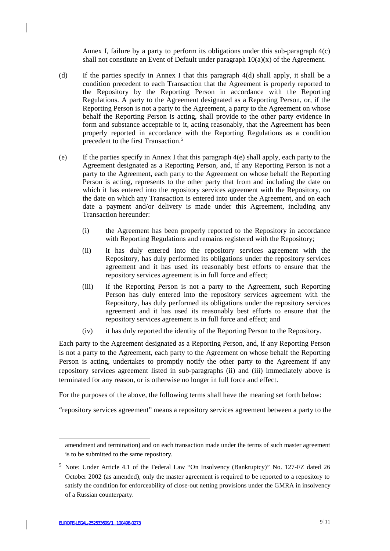Annex I, failure by a party to perform its obligations under this sub-paragraph 4(c) shall not constitute an Event of Default under paragraph  $10(a)(x)$  of the Agreement.

- (d) If the parties specify in Annex I that this paragraph 4(d) shall apply, it shall be a condition precedent to each Transaction that the Agreement is properly reported to the Repository by the Reporting Person in accordance with the Reporting Regulations. A party to the Agreement designated as a Reporting Person, or, if the Reporting Person is not a party to the Agreement, a party to the Agreement on whose behalf the Reporting Person is acting, shall provide to the other party evidence in form and substance acceptable to it, acting reasonably, that the Agreement has been properly reported in accordance with the Reporting Regulations as a condition precedent to the first Transaction.<sup>5</sup>
- (e) If the parties specify in Annex I that this paragraph 4(e) shall apply, each party to the Agreement designated as a Reporting Person, and, if any Reporting Person is not a party to the Agreement, each party to the Agreement on whose behalf the Reporting Person is acting, represents to the other party that from and including the date on which it has entered into the repository services agreement with the Repository, on the date on which any Transaction is entered into under the Agreement, and on each date a payment and/or delivery is made under this Agreement, including any Transaction hereunder:
	- (i) the Agreement has been properly reported to the Repository in accordance with Reporting Regulations and remains registered with the Repository;
	- (ii) it has duly entered into the repository services agreement with the Repository, has duly performed its obligations under the repository services agreement and it has used its reasonably best efforts to ensure that the repository services agreement is in full force and effect;
	- (iii) if the Reporting Person is not a party to the Agreement, such Reporting Person has duly entered into the repository services agreement with the Repository, has duly performed its obligations under the repository services agreement and it has used its reasonably best efforts to ensure that the repository services agreement is in full force and effect; and
	- (iv) it has duly reported the identity of the Reporting Person to the Repository.

Each party to the Agreement designated as a Reporting Person, and, if any Reporting Person is not a party to the Agreement, each party to the Agreement on whose behalf the Reporting Person is acting, undertakes to promptly notify the other party to the Agreement if any repository services agreement listed in sub-paragraphs (ii) and (iii) immediately above is terminated for any reason, or is otherwise no longer in full force and effect.

For the purposes of the above, the following terms shall have the meaning set forth below:

"repository services agreement" means a repository services agreement between a party to the

amendment and termination) and on each transaction made under the terms of such master agreement is to be submitted to the same repository.

<sup>5</sup> Note: Under Article 4.1 of the Federal Law "On Insolvency (Bankruptcy)" No. 127-FZ dated 26 October 2002 (as amended), only the master agreement is required to be reported to a repository to satisfy the condition for enforceability of close-out netting provisions under the GMRA in insolvency of a Russian counterparty.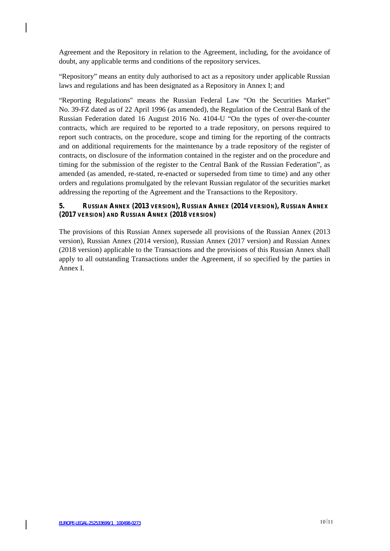Agreement and the Repository in relation to the Agreement, including, for the avoidance of doubt, any applicable terms and conditions of the repository services.

"Repository" means an entity duly authorised to act as a repository under applicable Russian laws and regulations and has been designated as a Repository in Annex I; and

"Reporting Regulations" means the Russian Federal Law "On the Securities Market" No. 39-FZ dated as of 22 April 1996 (as amended), the Regulation of the Central Bank of the Russian Federation dated 16 August 2016 No. 4104-U "On the types of over-the-counter contracts, which are required to be reported to a trade repository, on persons required to report such contracts, on the procedure, scope and timing for the reporting of the contracts and on additional requirements for the maintenance by a trade repository of the register of contracts, on disclosure of the information contained in the register and on the procedure and timing for the submission of the register to the Central Bank of the Russian Federation", as amended (as amended, re-stated, re-enacted or superseded from time to time) and any other orders and regulations promulgated by the relevant Russian regulator of the securities market addressing the reporting of the Agreement and the Transactions to the Repository.

## **5. RUSSIAN ANNEX (2013 VERSION), RUSSIAN ANNEX (2014 VERSION), RUSSIAN ANNEX (2017 VERSION) AND RUSSIAN ANNEX (2018 VERSION)**

The provisions of this Russian Annex supersede all provisions of the Russian Annex (2013 version), Russian Annex (2014 version), Russian Annex (2017 version) and Russian Annex (2018 version) applicable to the Transactions and the provisions of this Russian Annex shall apply to all outstanding Transactions under the Agreement, if so specified by the parties in Annex I.

 $\overline{\phantom{a}}$